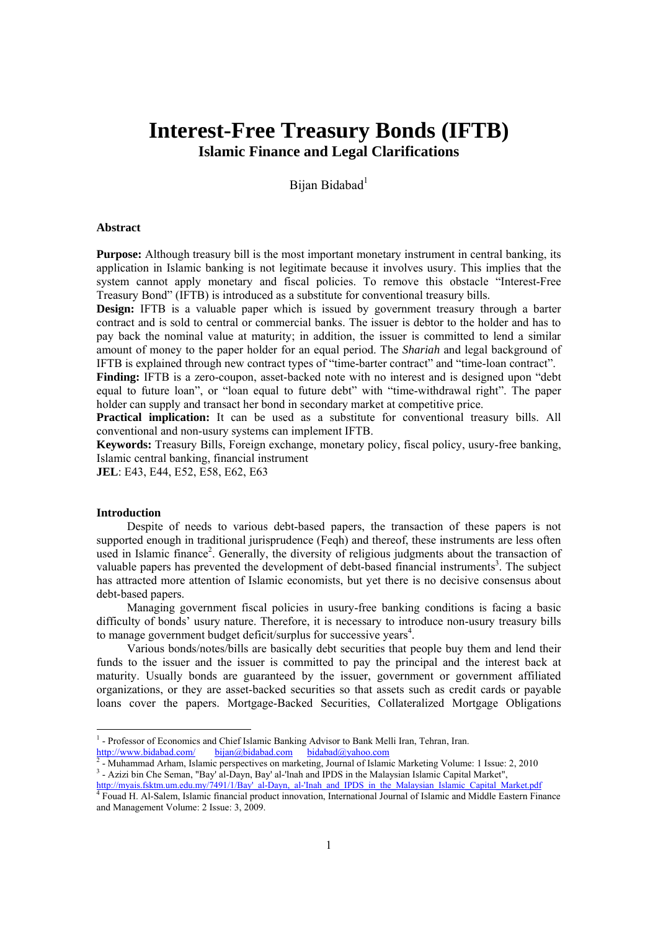# **Interest-Free Treasury Bonds (IFTB) Islamic Finance and Legal Clarifications**

Bijan Bidabad<sup>1</sup>

# **Abstract**

**Purpose:** Although treasury bill is the most important monetary instrument in central banking, its application in Islamic banking is not legitimate because it involves usury. This implies that the system cannot apply monetary and fiscal policies. To remove this obstacle "Interest-Free Treasury Bond" (IFTB) is introduced as a substitute for conventional treasury bills.

**Design:** IFTB is a valuable paper which is issued by government treasury through a barter contract and is sold to central or commercial banks. The issuer is debtor to the holder and has to pay back the nominal value at maturity; in addition, the issuer is committed to lend a similar amount of money to the paper holder for an equal period. The *Shariah* and legal background of IFTB is explained through new contract types of "time-barter contract" and "time-loan contract".

Finding: IFTB is a zero-coupon, asset-backed note with no interest and is designed upon "debt" equal to future loan", or "loan equal to future debt" with "time-withdrawal right". The paper holder can supply and transact her bond in secondary market at competitive price.

**Practical implication:** It can be used as a substitute for conventional treasury bills. All conventional and non-usury systems can implement IFTB.

**Keywords:** Treasury Bills, Foreign exchange, monetary policy, fiscal policy, usury-free banking, Islamic central banking, financial instrument

**JEL**: E43, E44, E52, E58, E62, E63

# **Introduction**

Despite of needs to various debt-based papers, the transaction of these papers is not supported enough in traditional jurisprudence (Feqh) and thereof, these instruments are less often used in Islamic finance<sup>2</sup>. Generally, the diversity of religious judgments about the transaction of valuable papers has prevented the development of debt-based financial instruments<sup>3</sup>. The subject has attracted more attention of Islamic economists, but yet there is no decisive consensus about debt-based papers.

Managing government fiscal policies in usury-free banking conditions is facing a basic difficulty of bonds' usury nature. Therefore, it is necessary to introduce non-usury treasury bills to manage government budget deficit/surplus for successive years<sup>4</sup>.

Various bonds/notes/bills are basically debt securities that people buy them and lend their funds to the issuer and the issuer is committed to pay the principal and the interest back at maturity. Usually bonds are guaranteed by the issuer, government or government affiliated organizations, or they are asset-backed securities so that assets such as credit cards or payable loans cover the papers. Mortgage-Backed Securities, Collateralized Mortgage Obligations

<sup>2</sup> - Muhammad Arham, Islamic perspectives on marketing, Journal of Islamic Marketing Volume: 1 Issue: 2, 2010 <sup>3</sup> - Azizi bin Cho Soman, "Pay' al-Dayn, Bay' al-Unab and IBDS in the Malaysian Islamic Capital Market" <sup>3</sup> - Azizi bin Che Seman, "Bay' al-Dayn, Bay' al-'lnah and IPDS in the Malaysian Islamic Capital Market",

<sup>1&</sup>lt;br><sup>1</sup> - Professor of Economics and Chief Islamic Banking Advisor to Bank Melli Iran, Tehran, Iran. http://www.bidabad.com/ bijan@bidabad.com bidabad@yahoo.com<br><sup>2</sup> Muhammad Arbam Jalamia perspectives on marketing Journal of Jalami

http://myais.fsktm.um.edu.my/7491/1/Bay'\_al-Dayn,\_al-'Inah\_and\_IPDS\_in\_the\_Malaysian\_Islamic\_Capital\_Market.pdf<br><sup>4</sup> Fouad H. Al-Salem, Islamic financial product innovation, International Journal of Islamic and Middle Easte and Management Volume: 2 Issue: 3, 2009.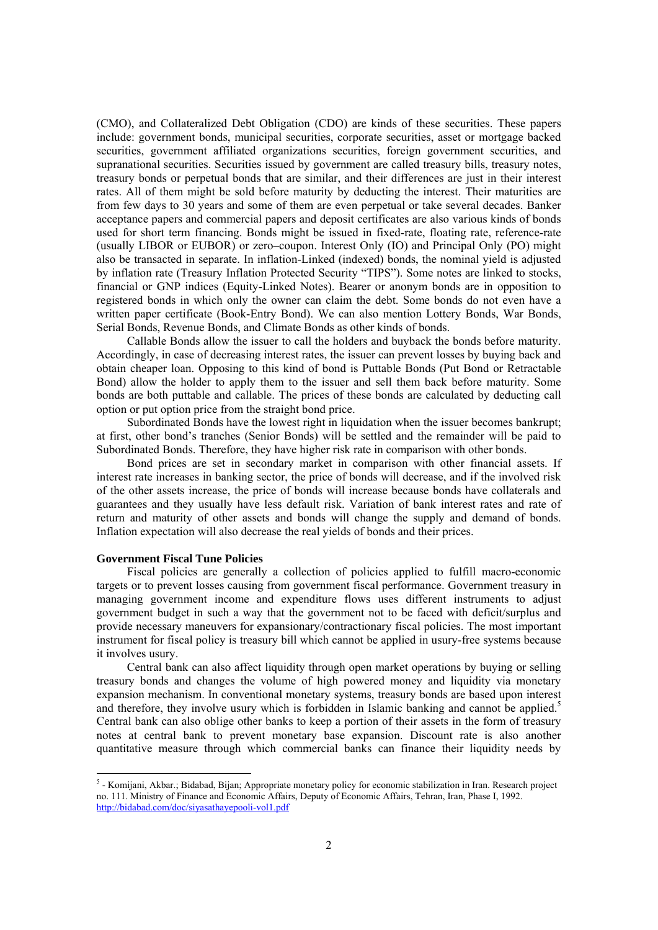(CMO), and Collateralized Debt Obligation (CDO) are kinds of these securities. These papers include: government bonds, municipal securities, corporate securities, asset or mortgage backed securities, government affiliated organizations securities, foreign government securities, and supranational securities. Securities issued by government are called treasury bills, treasury notes, treasury bonds or perpetual bonds that are similar, and their differences are just in their interest rates. All of them might be sold before maturity by deducting the interest. Their maturities are from few days to 30 years and some of them are even perpetual or take several decades. Banker acceptance papers and commercial papers and deposit certificates are also various kinds of bonds used for short term financing. Bonds might be issued in fixed-rate, floating rate, reference-rate (usually LIBOR or EUBOR) or zero–coupon. Interest Only (IO) and Principal Only (PO) might also be transacted in separate. In inflation-Linked (indexed) bonds, the nominal yield is adjusted by inflation rate (Treasury Inflation Protected Security "TIPS"). Some notes are linked to stocks, financial or GNP indices (Equity-Linked Notes). Bearer or anonym bonds are in opposition to registered bonds in which only the owner can claim the debt. Some bonds do not even have a written paper certificate (Book-Entry Bond). We can also mention Lottery Bonds, War Bonds, Serial Bonds, Revenue Bonds, and Climate Bonds as other kinds of bonds.

Callable Bonds allow the issuer to call the holders and buyback the bonds before maturity. Accordingly, in case of decreasing interest rates, the issuer can prevent losses by buying back and obtain cheaper loan. Opposing to this kind of bond is Puttable Bonds (Put Bond or Retractable Bond) allow the holder to apply them to the issuer and sell them back before maturity. Some bonds are both puttable and callable. The prices of these bonds are calculated by deducting call option or put option price from the straight bond price.

Subordinated Bonds have the lowest right in liquidation when the issuer becomes bankrupt; at first, other bond's tranches (Senior Bonds) will be settled and the remainder will be paid to Subordinated Bonds. Therefore, they have higher risk rate in comparison with other bonds.

Bond prices are set in secondary market in comparison with other financial assets. If interest rate increases in banking sector, the price of bonds will decrease, and if the involved risk of the other assets increase, the price of bonds will increase because bonds have collaterals and guarantees and they usually have less default risk. Variation of bank interest rates and rate of return and maturity of other assets and bonds will change the supply and demand of bonds. Inflation expectation will also decrease the real yields of bonds and their prices.

### **Government Fiscal Tune Policies**

Fiscal policies are generally a collection of policies applied to fulfill macro-economic targets or to prevent losses causing from government fiscal performance. Government treasury in managing government income and expenditure flows uses different instruments to adjust government budget in such a way that the government not to be faced with deficit/surplus and provide necessary maneuvers for expansionary/contractionary fiscal policies. The most important instrument for fiscal policy is treasury bill which cannot be applied in usury-free systems because it involves usury.

Central bank can also affect liquidity through open market operations by buying or selling treasury bonds and changes the volume of high powered money and liquidity via monetary expansion mechanism. In conventional monetary systems, treasury bonds are based upon interest and therefore, they involve usury which is forbidden in Islamic banking and cannot be applied.<sup>5</sup> Central bank can also oblige other banks to keep a portion of their assets in the form of treasury notes at central bank to prevent monetary base expansion. Discount rate is also another quantitative measure through which commercial banks can finance their liquidity needs by

 5 - Komijani, Akbar.; Bidabad, Bijan; Appropriate monetary policy for economic stabilization in Iran. Research project no. 111. Ministry of Finance and Economic Affairs, Deputy of Economic Affairs, Tehran, Iran, Phase I, 1992. http://bidabad.com/doc/siyasathayepooli-vol1.pdf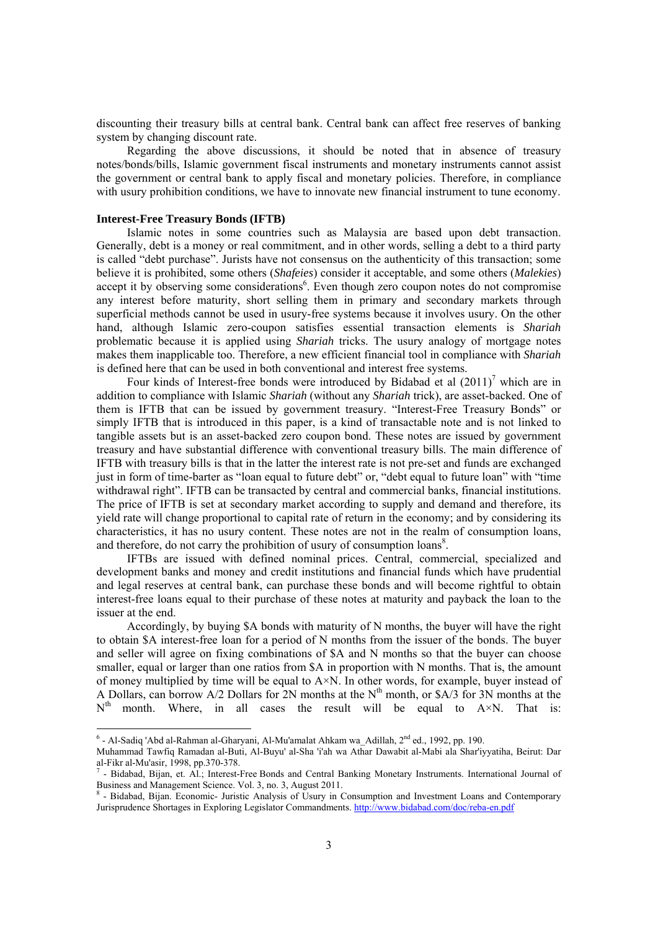discounting their treasury bills at central bank. Central bank can affect free reserves of banking system by changing discount rate.

Regarding the above discussions, it should be noted that in absence of treasury notes/bonds/bills, Islamic government fiscal instruments and monetary instruments cannot assist the government or central bank to apply fiscal and monetary policies. Therefore, in compliance with usury prohibition conditions, we have to innovate new financial instrument to tune economy.

# **Interest-Free Treasury Bonds (IFTB)**

 $\overline{a}$ 

Islamic notes in some countries such as Malaysia are based upon debt transaction. Generally, debt is a money or real commitment, and in other words, selling a debt to a third party is called "debt purchase". Jurists have not consensus on the authenticity of this transaction; some believe it is prohibited, some others (*Shafeies*) consider it acceptable, and some others (*Malekies*) accept it by observing some considerations<sup>6</sup>. Even though zero coupon notes do not compromise any interest before maturity, short selling them in primary and secondary markets through superficial methods cannot be used in usury-free systems because it involves usury. On the other hand, although Islamic zero-coupon satisfies essential transaction elements is *Shariah* problematic because it is applied using *Shariah* tricks. The usury analogy of mortgage notes makes them inapplicable too. Therefore, a new efficient financial tool in compliance with *Shariah* is defined here that can be used in both conventional and interest free systems.

Four kinds of Interest-free bonds were introduced by Bidabad et al  $(2011)^7$  which are in addition to compliance with Islamic *Shariah* (without any *Shariah* trick), are asset-backed. One of them is IFTB that can be issued by government treasury. "Interest-Free Treasury Bonds" or simply IFTB that is introduced in this paper, is a kind of transactable note and is not linked to tangible assets but is an asset-backed zero coupon bond. These notes are issued by government treasury and have substantial difference with conventional treasury bills. The main difference of IFTB with treasury bills is that in the latter the interest rate is not pre-set and funds are exchanged just in form of time-barter as "loan equal to future debt" or, "debt equal to future loan" with "time withdrawal right". IFTB can be transacted by central and commercial banks, financial institutions. The price of IFTB is set at secondary market according to supply and demand and therefore, its yield rate will change proportional to capital rate of return in the economy; and by considering its characteristics, it has no usury content. These notes are not in the realm of consumption loans, and therefore, do not carry the prohibition of usury of consumption loans $\delta$ .

IFTBs are issued with defined nominal prices. Central, commercial, specialized and development banks and money and credit institutions and financial funds which have prudential and legal reserves at central bank, can purchase these bonds and will become rightful to obtain interest-free loans equal to their purchase of these notes at maturity and payback the loan to the issuer at the end.

Accordingly, by buying \$A bonds with maturity of N months, the buyer will have the right to obtain \$A interest-free loan for a period of N months from the issuer of the bonds. The buyer and seller will agree on fixing combinations of \$A and N months so that the buyer can choose smaller, equal or larger than one ratios from \$A in proportion with N months. That is, the amount of money multiplied by time will be equal to  $A \times N$ . In other words, for example, buyer instead of A Dollars, can borrow  $A/2$  Dollars for 2N months at the N<sup>th</sup> month, or \$A/3 for 3N months at the  $N<sup>th</sup>$  month. Where, in all cases the result will be equal to  $A \times N$ . That is:

 $6$  - Al-Sadiq 'Abd al-Rahman al-Gharyani, Al-Mu'amalat Ahkam wa Adillah,  $2<sup>nd</sup>$  ed., 1992, pp. 190.

Muhammad Tawfiq Ramadan al-Buti, Al-Buyu' al-Sha 'i'ah wa Athar Dawabit al-Mabi ala Shar'iyyatiha, Beirut: Dar al-Fikr al-Mu'asir, 1998, pp.370-378.

<sup>7</sup> - Bidabad, Bijan, et. Al.; Interest-Free Bonds and Central Banking Monetary Instruments. International Journal of Business and Management Science. Vol. 3, no. 3, August 2011.

<sup>&</sup>lt;sup>8</sup> - Bidabad, Bijan. Economic- Juristic Analysis of Usury in Consumption and Investment Loans and Contemporary Jurisprudence Shortages in Exploring Legislator Commandments. http://www.bidabad.com/doc/reba-en.pdf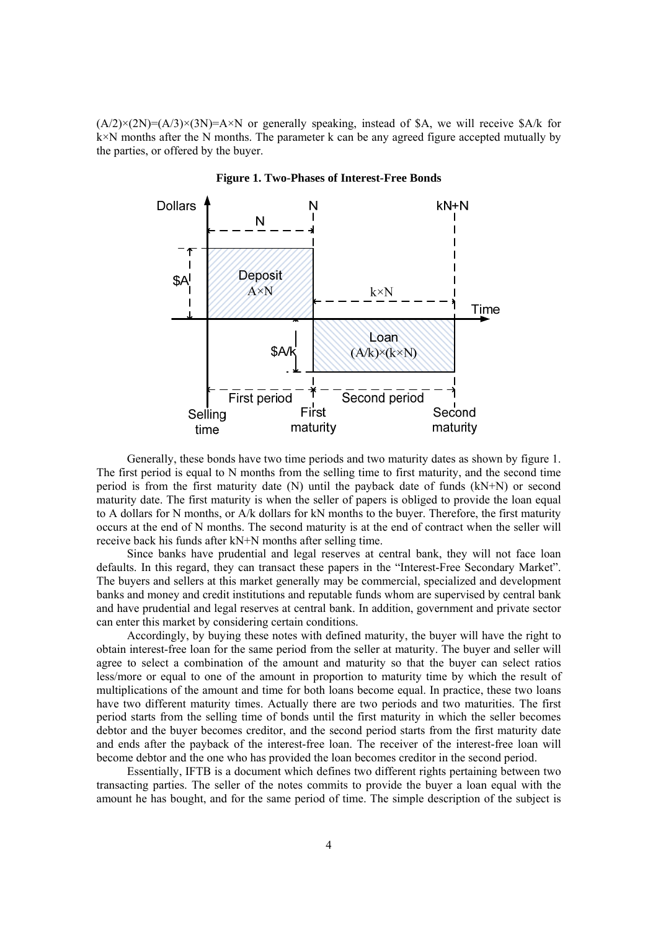$(A/2)\times(2N)=(A/3)\times(3N)=A\times N$  or generally speaking, instead of \$A, we will receive \$A/k for k×N months after the N months. The parameter k can be any agreed figure accepted mutually by the parties, or offered by the buyer.



**Figure 1. Two-Phases of Interest-Free Bonds**

Generally, these bonds have two time periods and two maturity dates as shown by figure 1. The first period is equal to N months from the selling time to first maturity, and the second time period is from the first maturity date (N) until the payback date of funds (kN+N) or second maturity date. The first maturity is when the seller of papers is obliged to provide the loan equal to A dollars for N months, or A/k dollars for kN months to the buyer. Therefore, the first maturity occurs at the end of N months. The second maturity is at the end of contract when the seller will receive back his funds after kN+N months after selling time.

Since banks have prudential and legal reserves at central bank, they will not face loan defaults. In this regard, they can transact these papers in the "Interest-Free Secondary Market". The buyers and sellers at this market generally may be commercial, specialized and development banks and money and credit institutions and reputable funds whom are supervised by central bank and have prudential and legal reserves at central bank. In addition, government and private sector can enter this market by considering certain conditions.

Accordingly, by buying these notes with defined maturity, the buyer will have the right to obtain interest-free loan for the same period from the seller at maturity. The buyer and seller will agree to select a combination of the amount and maturity so that the buyer can select ratios less/more or equal to one of the amount in proportion to maturity time by which the result of multiplications of the amount and time for both loans become equal. In practice, these two loans have two different maturity times. Actually there are two periods and two maturities. The first period starts from the selling time of bonds until the first maturity in which the seller becomes debtor and the buyer becomes creditor, and the second period starts from the first maturity date and ends after the payback of the interest-free loan. The receiver of the interest-free loan will become debtor and the one who has provided the loan becomes creditor in the second period.

Essentially, IFTB is a document which defines two different rights pertaining between two transacting parties. The seller of the notes commits to provide the buyer a loan equal with the amount he has bought, and for the same period of time. The simple description of the subject is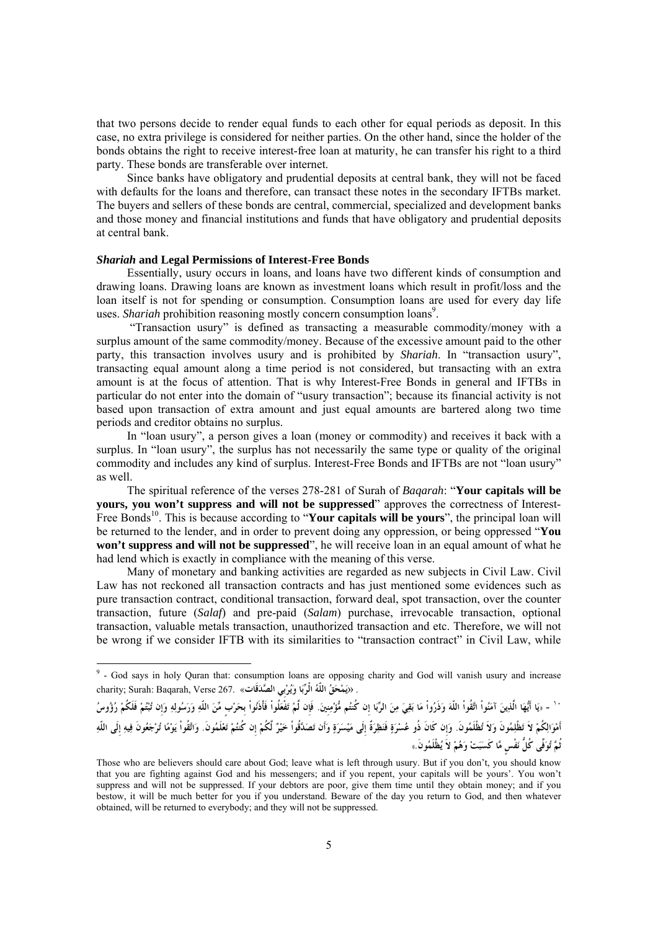that two persons decide to render equal funds to each other for equal periods as deposit. In this case, no extra privilege is considered for neither parties. On the other hand, since the holder of the bonds obtains the right to receive interest-free loan at maturity, he can transfer his right to a third party. These bonds are transferable over internet.

Since banks have obligatory and prudential deposits at central bank, they will not be faced with defaults for the loans and therefore, can transact these notes in the secondary IFTBs market. The buyers and sellers of these bonds are central, commercial, specialized and development banks and those money and financial institutions and funds that have obligatory and prudential deposits at central bank.

## *Shariah* **and Legal Permissions of Interest-Free Bonds**

Essentially, usury occurs in loans, and loans have two different kinds of consumption and drawing loans. Drawing loans are known as investment loans which result in profit/loss and the loan itself is not for spending or consumption. Consumption loans are used for every day life uses. *Shariah* prohibition reasoning mostly concern consumption loans<sup>9</sup>.

 "Transaction usury" is defined as transacting a measurable commodity/money with a surplus amount of the same commodity/money. Because of the excessive amount paid to the other party, this transaction involves usury and is prohibited by *Shariah*. In "transaction usury", transacting equal amount along a time period is not considered, but transacting with an extra amount is at the focus of attention. That is why Interest-Free Bonds in general and IFTBs in particular do not enter into the domain of "usury transaction"; because its financial activity is not based upon transaction of extra amount and just equal amounts are bartered along two time periods and creditor obtains no surplus.

In "loan usury", a person gives a loan (money or commodity) and receives it back with a surplus. In "loan usury", the surplus has not necessarily the same type or quality of the original commodity and includes any kind of surplus. Interest-Free Bonds and IFTBs are not "loan usury" as well.

The spiritual reference of the verses 278-281 of Surah of *Baqarah*: "**Your capitals will be yours, you won't suppress and will not be suppressed**" approves the correctness of Interest-Free Bonds10. This is because according to "**Your capitals will be yours**", the principal loan will be returned to the lender, and in order to prevent doing any oppression, or being oppressed "**You won't suppress and will not be suppressed**", he will receive loan in an equal amount of what he had lend which is exactly in compliance with the meaning of this verse.

Many of monetary and banking activities are regarded as new subjects in Civil Law. Civil Law has not reckoned all transaction contracts and has just mentioned some evidences such as pure transaction contract, conditional transaction, forward deal, spot transaction, over the counter transaction, future (*Salaf*) and pre-paid (*Salam*) purchase, irrevocable transaction, optional transaction, valuable metals transaction, unauthorized transaction and etc. Therefore, we will not be wrong if we consider IFTB with its similarities to "transaction contract" in Civil Law, while

.<br>`` - «يَا أَيُّهَا الَّذِينَ آمَنُواْ اتَقُواْ اللّهَ وَذَرُواْ مَا بَقِىَ مِنَ الرّبَا إن كُنتُم مُّؤْمِنِينَ. فَإن لَمْ تَفْعَلُواْ فَأْذَنُواْ بحَرْب مِّنَ اللّهِ وَرَسُولِهِ وَإن تُبْتُمْ فَلَكُمْ رُؤُوسُ أَهْوَالِكُمْ لاَ تَظْلِمُونَ وَلاَ تُظْلَمُونَ. وَإن كَانَ ذُو عُسْرَةٍ فَنَظِرَةٌ إلَى مَيْسَرَةٍ وَأن تَصَدَّقُواْ خَيْرٌ لَكُمْ إن كُنتُمْ تَعْلَمُونَ. وَاتَقُواْ يَوْمًا تُرْجَعُونَ فِيهِ إلَى اللّهِ **ثُمَّ تُوَفَّى كُلُّ نَفْسٍ مَّا كَسَبَتْ وَهُمْ لاَ يُظْلَمُونَ.**»

<sup>&</sup>lt;sup>9</sup> - God says in holy Quran that: consumption loans are opposing charity and God will vanish usury and increase . «يَمْحَقُ اللّهُ الْرِّبَا وَيُرْبِي الصَّدَقَاتِ» .267 charity; Surah: Baqarah, Verse

Those who are believers should care about God; leave what is left through usury. But if you don't, you should know that you are fighting against God and his messengers; and if you repent, your capitals will be yours'. You won't suppress and will not be suppressed. If your debtors are poor, give them time until they obtain money; and if you bestow, it will be much better for you if you understand. Beware of the day you return to God, and then whatever obtained, will be returned to everybody; and they will not be suppressed.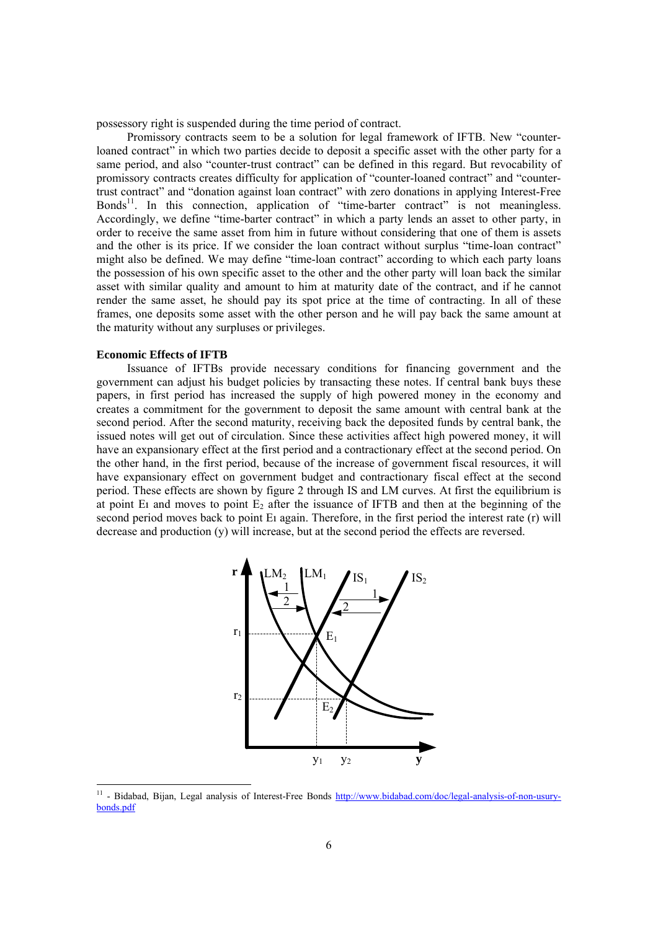possessory right is suspended during the time period of contract.

Promissory contracts seem to be a solution for legal framework of IFTB. New "counterloaned contract" in which two parties decide to deposit a specific asset with the other party for a same period, and also "counter-trust contract" can be defined in this regard. But revocability of promissory contracts creates difficulty for application of "counter-loaned contract" and "countertrust contract" and "donation against loan contract" with zero donations in applying Interest-Free Bonds<sup>11</sup>. In this connection, application of "time-barter contract" is not meaningless. Accordingly, we define "time-barter contract" in which a party lends an asset to other party, in order to receive the same asset from him in future without considering that one of them is assets and the other is its price. If we consider the loan contract without surplus "time-loan contract" might also be defined. We may define "time-loan contract" according to which each party loans the possession of his own specific asset to the other and the other party will loan back the similar asset with similar quality and amount to him at maturity date of the contract, and if he cannot render the same asset, he should pay its spot price at the time of contracting. In all of these frames, one deposits some asset with the other person and he will pay back the same amount at the maturity without any surpluses or privileges.

#### **Economic Effects of IFTB**

-

Issuance of IFTBs provide necessary conditions for financing government and the government can adjust his budget policies by transacting these notes. If central bank buys these papers, in first period has increased the supply of high powered money in the economy and creates a commitment for the government to deposit the same amount with central bank at the second period. After the second maturity, receiving back the deposited funds by central bank, the issued notes will get out of circulation. Since these activities affect high powered money, it will have an expansionary effect at the first period and a contractionary effect at the second period. On the other hand, in the first period, because of the increase of government fiscal resources, it will have expansionary effect on government budget and contractionary fiscal effect at the second period. These effects are shown by figure 2 through IS and LM curves. At first the equilibrium is at point E<sub>1</sub> and moves to point  $E_2$  after the issuance of IFTB and then at the beginning of the second period moves back to point Eı again. Therefore, in the first period the interest rate (r) will decrease and production (y) will increase, but at the second period the effects are reversed.



<sup>&</sup>lt;sup>11</sup> - Bidabad, Bijan, Legal analysis of Interest-Free Bonds http://www.bidabad.com/doc/legal-analysis-of-non-usurybonds.pdf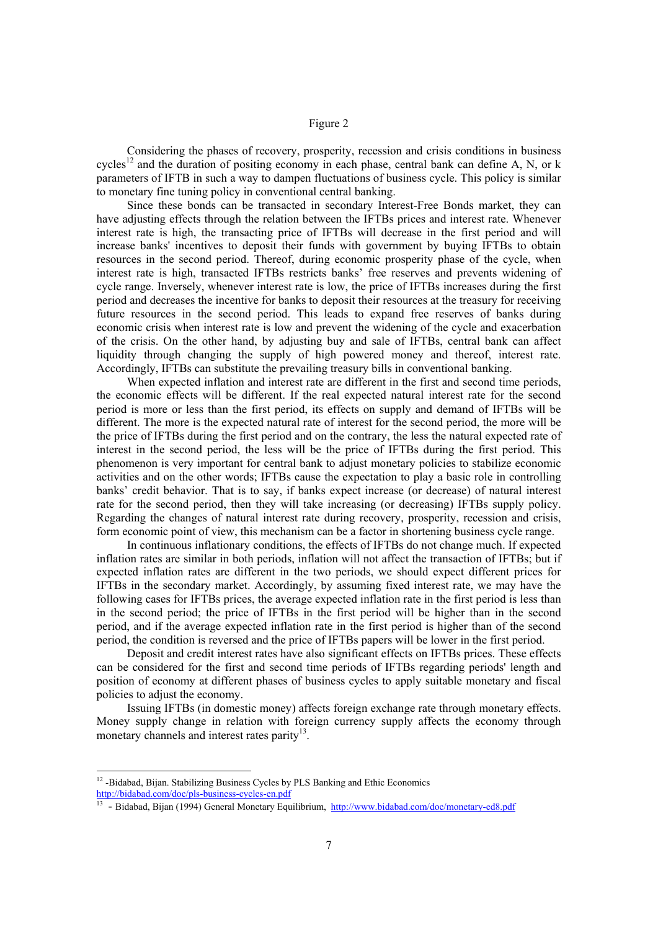# Figure 2

Considering the phases of recovery, prosperity, recession and crisis conditions in business cycles<sup>12</sup> and the duration of positing economy in each phase, central bank can define A, N, or k parameters of IFTB in such a way to dampen fluctuations of business cycle. This policy is similar to monetary fine tuning policy in conventional central banking.

Since these bonds can be transacted in secondary Interest-Free Bonds market, they can have adjusting effects through the relation between the IFTBs prices and interest rate. Whenever interest rate is high, the transacting price of IFTBs will decrease in the first period and will increase banks' incentives to deposit their funds with government by buying IFTBs to obtain resources in the second period. Thereof, during economic prosperity phase of the cycle, when interest rate is high, transacted IFTBs restricts banks' free reserves and prevents widening of cycle range. Inversely, whenever interest rate is low, the price of IFTBs increases during the first period and decreases the incentive for banks to deposit their resources at the treasury for receiving future resources in the second period. This leads to expand free reserves of banks during economic crisis when interest rate is low and prevent the widening of the cycle and exacerbation of the crisis. On the other hand, by adjusting buy and sale of IFTBs, central bank can affect liquidity through changing the supply of high powered money and thereof, interest rate. Accordingly, IFTBs can substitute the prevailing treasury bills in conventional banking.

When expected inflation and interest rate are different in the first and second time periods. the economic effects will be different. If the real expected natural interest rate for the second period is more or less than the first period, its effects on supply and demand of IFTBs will be different. The more is the expected natural rate of interest for the second period, the more will be the price of IFTBs during the first period and on the contrary, the less the natural expected rate of interest in the second period, the less will be the price of IFTBs during the first period. This phenomenon is very important for central bank to adjust monetary policies to stabilize economic activities and on the other words; IFTBs cause the expectation to play a basic role in controlling banks' credit behavior. That is to say, if banks expect increase (or decrease) of natural interest rate for the second period, then they will take increasing (or decreasing) IFTBs supply policy. Regarding the changes of natural interest rate during recovery, prosperity, recession and crisis, form economic point of view, this mechanism can be a factor in shortening business cycle range.

In continuous inflationary conditions, the effects of IFTBs do not change much. If expected inflation rates are similar in both periods, inflation will not affect the transaction of IFTBs; but if expected inflation rates are different in the two periods, we should expect different prices for IFTBs in the secondary market. Accordingly, by assuming fixed interest rate, we may have the following cases for IFTBs prices, the average expected inflation rate in the first period is less than in the second period; the price of IFTBs in the first period will be higher than in the second period, and if the average expected inflation rate in the first period is higher than of the second period, the condition is reversed and the price of IFTBs papers will be lower in the first period.

Deposit and credit interest rates have also significant effects on IFTBs prices. These effects can be considered for the first and second time periods of IFTBs regarding periods' length and position of economy at different phases of business cycles to apply suitable monetary and fiscal policies to adjust the economy.

Issuing IFTBs (in domestic money) affects foreign exchange rate through monetary effects. Money supply change in relation with foreign currency supply affects the economy through monetary channels and interest rates parity $13$ .

-

<sup>&</sup>lt;sup>12</sup> -Bidabad, Bijan. Stabilizing Business Cycles by PLS Banking and Ethic Economics http://bidabad.com/doc/pls-business-cycles-en.pdf<br>
<sup>13</sup> - Bidabad, Bijan (1994) General Monetary Equilibrium, http://www.bidabad.com/doc/monetary-ed8.pdf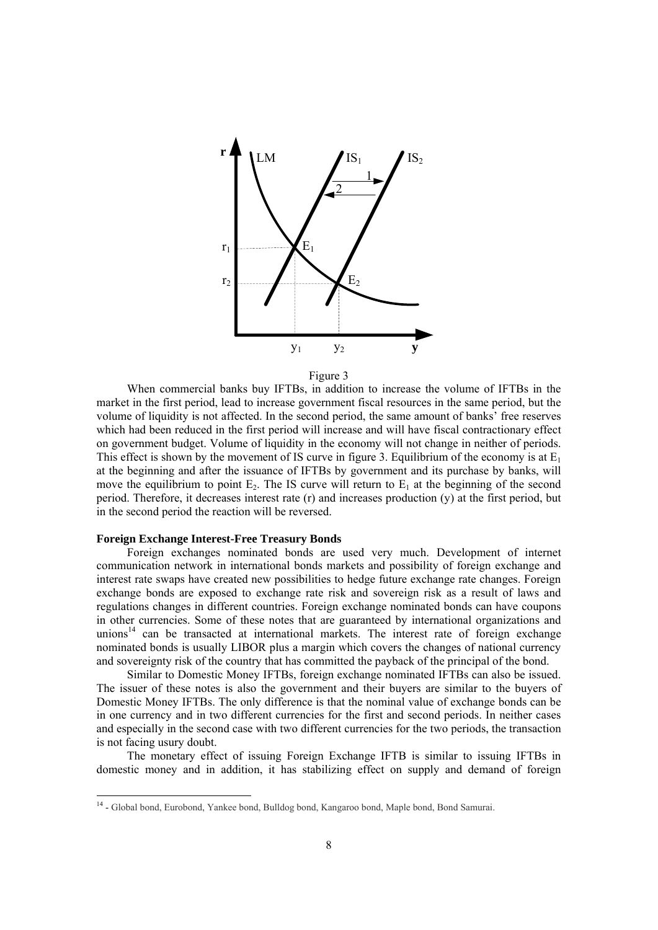

Figure 3

When commercial banks buy IFTBs, in addition to increase the volume of IFTBs in the market in the first period, lead to increase government fiscal resources in the same period, but the volume of liquidity is not affected. In the second period, the same amount of banks' free reserves which had been reduced in the first period will increase and will have fiscal contractionary effect on government budget. Volume of liquidity in the economy will not change in neither of periods. This effect is shown by the movement of IS curve in figure 3. Equilibrium of the economy is at  $E_1$ at the beginning and after the issuance of IFTBs by government and its purchase by banks, will move the equilibrium to point  $E_2$ . The IS curve will return to  $E_1$  at the beginning of the second period. Therefore, it decreases interest rate (r) and increases production (y) at the first period, but in the second period the reaction will be reversed.

# **Foreign Exchange Interest-Free Treasury Bonds**

-

Foreign exchanges nominated bonds are used very much. Development of internet communication network in international bonds markets and possibility of foreign exchange and interest rate swaps have created new possibilities to hedge future exchange rate changes. Foreign exchange bonds are exposed to exchange rate risk and sovereign risk as a result of laws and regulations changes in different countries. Foreign exchange nominated bonds can have coupons in other currencies. Some of these notes that are guaranteed by international organizations and unions<sup>14</sup> can be transacted at international markets. The interest rate of foreign exchange nominated bonds is usually LIBOR plus a margin which covers the changes of national currency and sovereignty risk of the country that has committed the payback of the principal of the bond.

Similar to Domestic Money IFTBs, foreign exchange nominated IFTBs can also be issued. The issuer of these notes is also the government and their buyers are similar to the buyers of Domestic Money IFTBs. The only difference is that the nominal value of exchange bonds can be in one currency and in two different currencies for the first and second periods. In neither cases and especially in the second case with two different currencies for the two periods, the transaction is not facing usury doubt.

The monetary effect of issuing Foreign Exchange IFTB is similar to issuing IFTBs in domestic money and in addition, it has stabilizing effect on supply and demand of foreign

<sup>&</sup>lt;sup>14</sup> - Global bond, Eurobond, Yankee bond, Bulldog bond, Kangaroo bond, Maple bond, Bond Samurai.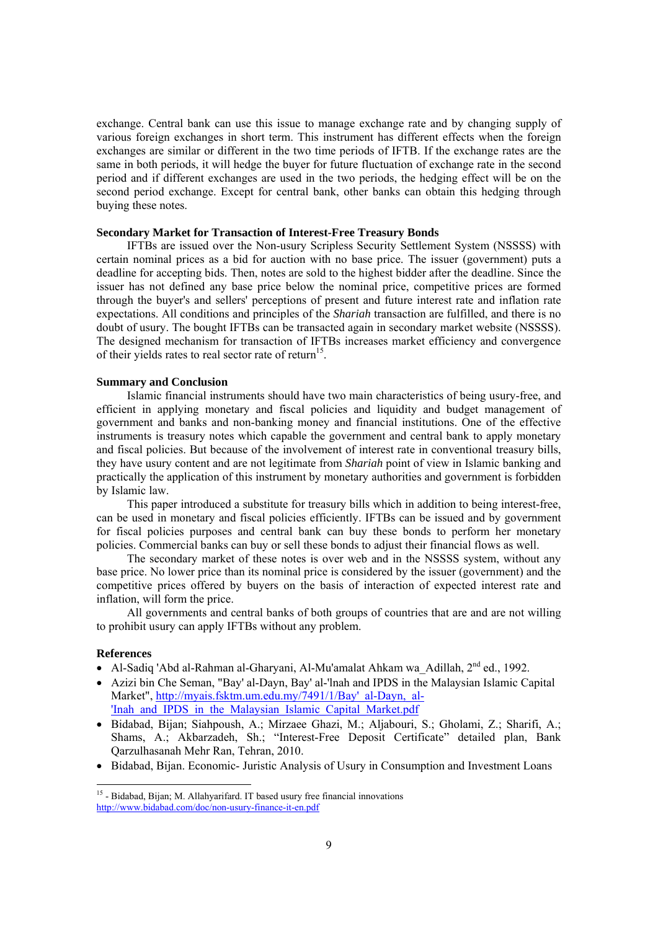exchange. Central bank can use this issue to manage exchange rate and by changing supply of various foreign exchanges in short term. This instrument has different effects when the foreign exchanges are similar or different in the two time periods of IFTB. If the exchange rates are the same in both periods, it will hedge the buyer for future fluctuation of exchange rate in the second period and if different exchanges are used in the two periods, the hedging effect will be on the second period exchange. Except for central bank, other banks can obtain this hedging through buying these notes.

## **Secondary Market for Transaction of Interest-Free Treasury Bonds**

IFTBs are issued over the Non-usury Scripless Security Settlement System (NSSSS) with certain nominal prices as a bid for auction with no base price. The issuer (government) puts a deadline for accepting bids. Then, notes are sold to the highest bidder after the deadline. Since the issuer has not defined any base price below the nominal price, competitive prices are formed through the buyer's and sellers' perceptions of present and future interest rate and inflation rate expectations. All conditions and principles of the *Shariah* transaction are fulfilled, and there is no doubt of usury. The bought IFTBs can be transacted again in secondary market website (NSSSS). The designed mechanism for transaction of IFTBs increases market efficiency and convergence of their yields rates to real sector rate of return<sup>15</sup>.

# **Summary and Conclusion**

Islamic financial instruments should have two main characteristics of being usury-free, and efficient in applying monetary and fiscal policies and liquidity and budget management of government and banks and non-banking money and financial institutions. One of the effective instruments is treasury notes which capable the government and central bank to apply monetary and fiscal policies. But because of the involvement of interest rate in conventional treasury bills, they have usury content and are not legitimate from *Shariah* point of view in Islamic banking and practically the application of this instrument by monetary authorities and government is forbidden by Islamic law.

This paper introduced a substitute for treasury bills which in addition to being interest-free, can be used in monetary and fiscal policies efficiently. IFTBs can be issued and by government for fiscal policies purposes and central bank can buy these bonds to perform her monetary policies. Commercial banks can buy or sell these bonds to adjust their financial flows as well.

The secondary market of these notes is over web and in the NSSSS system, without any base price. No lower price than its nominal price is considered by the issuer (government) and the competitive prices offered by buyers on the basis of interaction of expected interest rate and inflation, will form the price.

All governments and central banks of both groups of countries that are and are not willing to prohibit usury can apply IFTBs without any problem.

#### **References**

-

- Al-Sadiq 'Abd al-Rahman al-Gharyani, Al-Mu'amalat Ahkam wa Adillah,  $2<sup>nd</sup>$  ed., 1992.
- Azizi bin Che Seman, "Bay' al-Dayn, Bay' al-'lnah and IPDS in the Malaysian Islamic Capital Market", http://myais.fsktm.um.edu.my/7491/1/Bay'\_al-Dayn,\_al-'Inah\_and\_IPDS\_in\_the\_Malaysian\_Islamic\_Capital\_Market.pdf
- Bidabad, Bijan; Siahpoush, A.; Mirzaee Ghazi, M.; Aljabouri, S.; Gholami, Z.; Sharifi, A.; Shams, A.; Akbarzadeh, Sh.; "Interest-Free Deposit Certificate" detailed plan, Bank Qarzulhasanah Mehr Ran, Tehran, 2010.
- Bidabad, Bijan. Economic- Juristic Analysis of Usury in Consumption and Investment Loans

<sup>&</sup>lt;sup>15</sup> - Bidabad, Bijan; M. Allahyarifard. IT based usury free financial innovations http://www.bidabad.com/doc/non-usury-finance-it-en.pdf